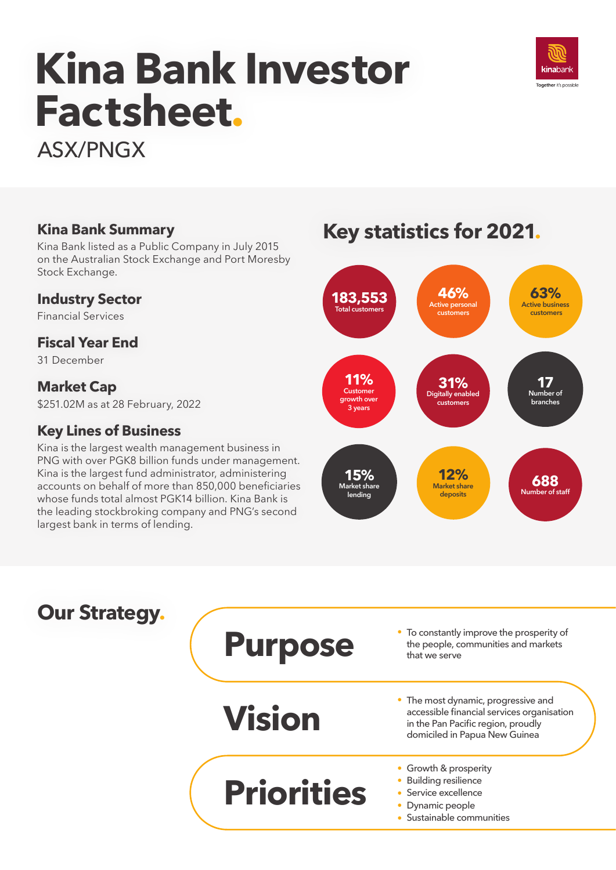# **Kina Bank Investor Factsheet.**



ASX/PNGX

**Kina Bank Summary** Kina Bank listed as a Public Company in July 2015 on the Australian Stock Exchange and Port Moresby Stock Exchange.

#### **Industry Sector**

Financial Services

#### **Fiscal Year End**

31 December

#### **Market Cap**

\$251.02M as at 28 February, 2022

### **Key Lines of Business**

Kina is the largest wealth management business in PNG with over PGK8 billion funds under management. Kina is the largest fund administrator, administering accounts on behalf of more than 850,000 beneficiaries whose funds total almost PGK14 billion. Kina Bank is the leading stockbroking company and PNG's second largest bank in terms of lending.

# **Key statistics for 2021.**